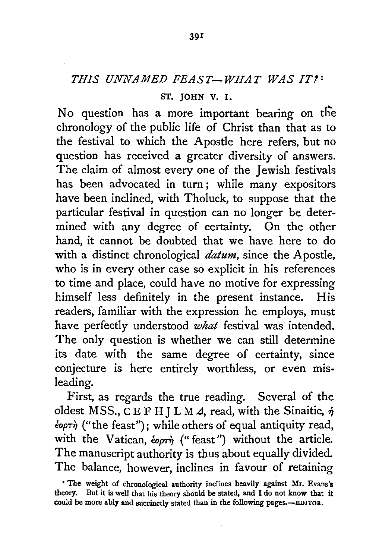## *THIS UNNAMED FEAST-WHAT WAS IT.'•*

## ST. JOHN V. I.

No question has a more important bearing on the chronology of the public life of Christ than that as to the festival to which the Apostle here refers, but no question has received a greater diversity of answers. The claim of almost every one of the Jewish festivals has been advocated in turn ; while many expositors have been inclined, with Tholuck, to suppose that the particular festival in question can no longer be determined with any degree of certainty. On the other hand, it cannot be doubted that we have here to do with a distinct chronological *datum,* since the Apostle, who is in every other case so explicit in his references to time and place, could have no motive for expressing himself less definitely in the present instance. His readers, familiar with the expression he employs, must have perfectly understood *what* festival was intended. The only question is whether we can still determine its date with the same degree of certainty, since conjecture is here entirely worthless, or even misleading.

First, as regards the true reading. Several of the oldest MSS., CEFH J L M 4, read, with the Sinaitic,  $\dot{\eta}$ €opT~ ("the feast"); while others of equal antiquity read, with the Vatican,  $\epsilon_{\text{opt}}$  ("feast") without the article. The manuscript authority is thus about equally divided. The balance, however, inclines in favour of retaining

<sup>•</sup> The weight of chronological authority inclines heavily against Mr. Evans's theory, But it is well that his theory should be stated, and I do not know that it could be more ably and succinctly stated than in the following pages.--EDITOR.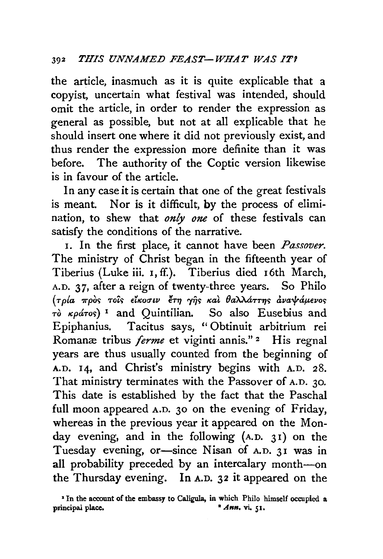the article, inasmuch as it is quite explicable that a copyist, uncertain what festival was intended, should omit the article, in order to render the expression as general as possible, but not at all explicable that he should insert one where it did not previously exist, and thus render the expression more definite than it was before. The authority of the Coptic version likewise is in favour of the article.

In any case it is certain that one of the great festivals is meant. Nor is it difficult, by the process of elimination, to shew that *only one* of these festivals can satisfy the conditions of the narrative.

I. In the first place, it cannot have been *Passover.*  The ministry of Christ began in the fifteenth year of Tiberius (Luke iii. 1, ff.). Tiberius died 16th March, A.D. 37, after a reign of twenty-three years. So Philo ( I \ ~ " " ~ \ (} "'\ "'\ .! > .1. I *T P'a wpo<>* TO£'> €'"orrw *€TTJ 'YTJ'> "a' a"""""TTTJ'> ava* 'I' ap.€110'>  $τ\delta$  *κράτος*)<sup>1</sup> and Quintilian. So also Eusebius and Epiphanius. Tacitus says, "Obtinuit arbitrium rei Romanæ tribus *ferme* et viginti annis."<sup>2</sup> His regnal years are thus usually counted from the beginning of A.D. 14, and Christ's ministry begins with A.D. 28. That ministry terminates with the Passover of A.D. 30. This date is established by the fact that the Paschal full moon appeared A.D. 30 on the evening of Friday, whereas in the previous year it appeared on the Monday evening, and in the following  $(A.D. 31)$  on the Tuesday evening, or-since Nisan of A.D. 31 was in all probability preceded by an intercalary month-on the Thursday evening. In A.D. 32 it appeared on the

<sup>•</sup> In the account of the embassy to Caligula, in which Philo himself occupied a principal place. **•** *Ann*, **vi.** 51.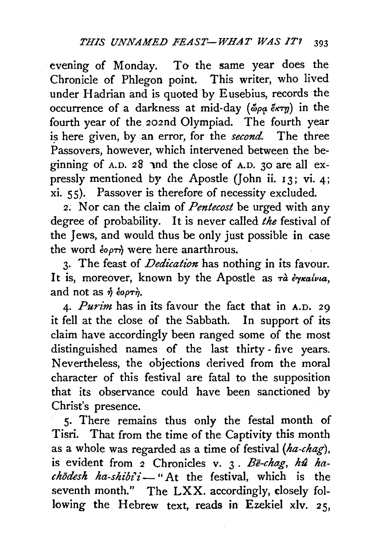evening of Monday. To the same year does the Chronicle of Phlegon point. This writer, who lived under Hadrian and is quoted by Eusebius, records the occurrence of a darkness at mid-day ( $\delta \rho \alpha \ell \kappa \tau \eta$ ) in the fourth year of the 202nd Olympiad. The fourth year is here given, by an error, for the *second*. The three Passovers, however, which intervened between the beginning of  $A.D. 28$  and the close of  $A.D. 30$  are all expressly mentioned by the Apostle (John ii. 13; vi. 4; xi. ss). Passover is therefore of necessity excluded.

2; Nor can the claim of *Pentecost* be urged with any degree of probability. It is never called *the* festival of the Jews, and would thus be only just possible in case the word  $\epsilon_{\rho\sigma\tau\eta}$  were here anarthrous.

3· The feast of *Dedication* has nothing in its favour. It is, moreover, known by the Apostle as  $\tau \hat{a}$   $\hat{\epsilon} \gamma \kappa a/\nu a$ , and not as  $\hat{\eta}$  éopth.

4· *Purim* has in its favour the fact that in A.D. 29 it fell at the close of the Sabbath. In support of its claim have accordingly been ranged some of the most distinguished names of the last thirty - five years. Nevertheless, the objections derived from the moral character of this festival are fatal to the supposition that its observance could have been sanctioned by Christ's presence.

S· There remains thus only the festal month of Tisri. That from the time of the Captivity this month as a whole was regarded as a time of festival *(ha-chag),*  is evident from *2* Chronicles v. 3. Be-chag, hû ha $ch\bar{o}$ *desh ha-shibi'i* - "At the festival, which is the seventh month." The LXX. accordingly, closely following the Hebrew text, reads in Ezekiel xlv. 25,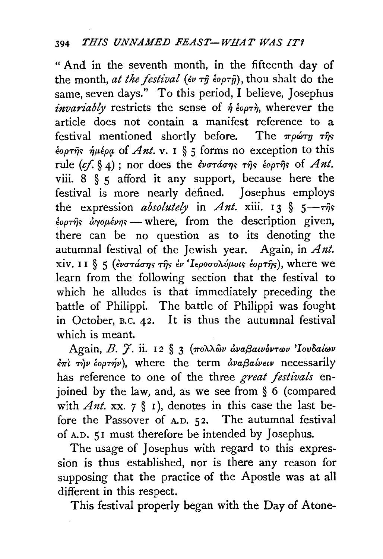" And in the seventh month, in the fifteenth day of the month, *at the festival*  $(e\nu \tau \hat{\eta} \dot{\epsilon} \circ \rho \tau \hat{\eta})$ , thou shalt do the same, seven days." To this period, I believe, Josephus *invariably* restricts the sense of  $\eta$   $\epsilon_{\text{opt}}$ , wherever the article does not contain a manifest reference to a festival mentioned shortly before. The  $\pi \rho \omega \tau \eta \tau \hat{\eta} s$  $\epsilon_{\text{opt}}\hat{\eta}_{\text{S}}$   $\hat{\eta}_{\mu}\epsilon_{\rho\alpha}$  of *Ant.* **v.** 1 § 5 forms no exception to this rule  $(cf, § 4)$ ; nor does the *ενστάσης της εκριτης* of *Ant.* viii.  $8 \xi \zeta$  afford it any support, because here the festival is more nearly defined. Josephus employs the expression *absolutely* in *Ant.*  $xiii. 13 \t{5 - \tau\hat{\eta}}s$  $\epsilon_{\text{opt}}\hat{\theta}_{\text{opt}}$   $\epsilon_{\text{opt}}$  = where, from the description given, there can be no question as to its denoting the autumnal festival of the Jewish year. Again, in *Ant.*  xiv. II § 5 ( $\epsilon$ νστάσης της  $\epsilon$ ν 'Ιεροσολύμοις έορτης), where we learn from the following section that the festival to which he alludes is that immediately preceding the battle of Philippi. The battle of Philippi was fought in October, B.C.  $42$ . It is thus the autumnal festival which is meant.

Again, *B. γ.* ii. 12 § 3 (πολλών αναβαινόντων 'Ιουδαίων  $\epsilon \pi i$   $\tau \gamma \nu$   $\epsilon$ op $\tau \gamma \nu$ ), where the term  $\frac{\partial u}{\partial \alpha} \beta a \nu \epsilon \nu$  necessarily has reference to one of the three *great festivals* enjoined by the law, and, as we see from § 6 (compared with *Ant.* xx. 7 § 1), denotes in this case the last before the Passover of A.D. 52. The autumnal festival of A.D. 51 must therefore be intended by Josephus.

The usage of Josephus with regard to this expression is thus established, nor is there any reason for supposing that the practice of the Apostle was at all different in this respect.

This festival properly began with the Day of Atone-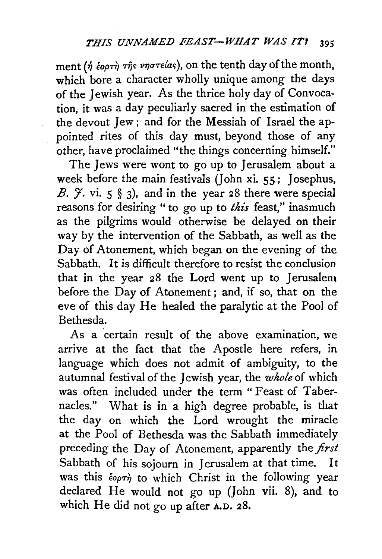ment ( $\eta$  έορτή της νηστείας), on the tenth day of the month, which bore a character wholly unique among the days of the Jewish year. As the thrice holy day of Convocation, it was a day peculiarly sacred in the estimation of the devout Jew; and for the Messiah of Israel the appointed rites of this day must, beyond those of any other, have proclaimed "the things concerning himself."

The Jews were wont to go up to Jerusalem about a week before the main festivals (John xi. 55; Josephus, *B.*  $\tilde{f}$ . vi. 5  $\$  3), and in the year 28 there were special reasons for desiring " to go up to *this* feast," inasmuch as the pilgrims would otherwise be delayed on their way by the intervention of the Sabbath, as well as the Day of Atonement, which began on the evening of the Sabbath. It is difficult therefore to resist the conclusion that in the year 28 the Lord went up to Jerusalem before the Day of Atonement ; and, if so, that on the eve of this day He healed the paralytic at the Pool of Bethesda.

As a certain result of the above examination, we arrive at the fact that the Apostle here refers, in language which does not admit of ambiguity, to the autumnal festival of the Jewish year, the *whole* of which was often included under the term "Feast of Tabernacles." What is in a high degree probable, is that the day on which the Lord wrought the miracle at the Pool of Bethesda was the Sabbath immediately preceding the Day of Atonement, apparently the *first*  Sabbath of his sojourn in Jerusalem at that time. It was this  $\epsilon_{\text{opt}}$  to which Christ in the following year declared He would not go up (John vii. 8), and to which He did not go up after A.D. 28.